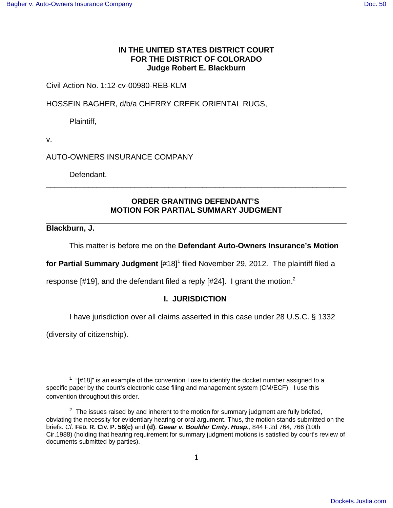## **IN THE UNITED STATES DISTRICT COURT FOR THE DISTRICT OF COLORADO Judge Robert E. Blackburn**

# Civil Action No. 1:12-cv-00980-REB-KLM

HOSSEIN BAGHER, d/b/a CHERRY CREEK ORIENTAL RUGS,

Plaintiff,

v.

AUTO-OWNERS INSURANCE COMPANY

Defendant.

# **ORDER GRANTING DEFENDANT'S MOTION FOR PARTIAL SUMMARY JUDGMENT**

\_\_\_\_\_\_\_\_\_\_\_\_\_\_\_\_\_\_\_\_\_\_\_\_\_\_\_\_\_\_\_\_\_\_\_\_\_\_\_\_\_\_\_\_\_\_\_\_\_\_\_\_\_\_\_\_\_\_\_\_\_\_\_\_\_\_\_\_\_\_\_

### **Blackburn, J.**

This matter is before me on the **Defendant Auto-Owners Insurance's Motion**

for Partial Summary Judgment [#18]<sup>1</sup> filed November 29, 2012. The plaintiff filed a

response [#19], and the defendant filed a reply [#24]. I grant the motion.<sup>2</sup>

# **I. JURISDICTION**

I have jurisdiction over all claims asserted in this case under 28 U.S.C. § 1332

(diversity of citizenship).

 $1$  "[#18]" is an example of the convention I use to identify the docket number assigned to a specific paper by the court's electronic case filing and management system (CM/ECF). I use this convention throughout this order.

 $2^2$  The issues raised by and inherent to the motion for summary judgment are fully briefed, obviating the necessity for evidentiary hearing or oral argument. Thus, the motion stands submitted on the briefs. Cf. **FED. R. CIV. P. 56(c)** and **(d)**. **Geear v. Boulder Cmty. Hosp**., 844 F.2d 764, 766 (10th Cir.1988) (holding that hearing requirement for summary judgment motions is satisfied by court's review of documents submitted by parties).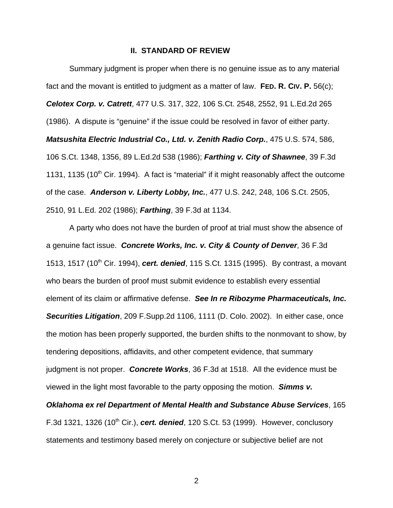#### **II. STANDARD OF REVIEW**

Summary judgment is proper when there is no genuine issue as to any material fact and the movant is entitled to judgment as a matter of law. **FED. R. CIV. P.** 56(c); **Celotex Corp. v. Catrett**, 477 U.S. 317, 322, 106 S.Ct. 2548, 2552, 91 L.Ed.2d 265 (1986). A dispute is "genuine" if the issue could be resolved in favor of either party. **Matsushita Electric Industrial Co., Ltd. v. Zenith Radio Corp.**, 475 U.S. 574, 586, 106 S.Ct. 1348, 1356, 89 L.Ed.2d 538 (1986); **Farthing v. City of Shawnee**, 39 F.3d 1131, 1135 (10<sup>th</sup> Cir. 1994). A fact is "material" if it might reasonably affect the outcome of the case. **Anderson v. Liberty Lobby, Inc.**, 477 U.S. 242, 248, 106 S.Ct. 2505, 2510, 91 L.Ed. 202 (1986); **Farthing**, 39 F.3d at 1134.

A party who does not have the burden of proof at trial must show the absence of a genuine fact issue. **Concrete Works, Inc. v. City & County of Denver**, 36 F.3d 1513, 1517 (10<sup>th</sup> Cir. 1994), **cert. denied**, 115 S.Ct. 1315 (1995). By contrast, a movant who bears the burden of proof must submit evidence to establish every essential element of its claim or affirmative defense. **See In re Ribozyme Pharmaceuticals, Inc. Securities Litigation**, 209 F.Supp.2d 1106, 1111 (D. Colo. 2002). In either case, once the motion has been properly supported, the burden shifts to the nonmovant to show, by tendering depositions, affidavits, and other competent evidence, that summary judgment is not proper. **Concrete Works**, 36 F.3d at 1518. All the evidence must be viewed in the light most favorable to the party opposing the motion. **Simms v.**

**Oklahoma ex rel Department of Mental Health and Substance Abuse Services**, 165 F.3d 1321, 1326 (10<sup>th</sup> Cir.), **cert. denied**, 120 S.Ct. 53 (1999). However, conclusory statements and testimony based merely on conjecture or subjective belief are not

2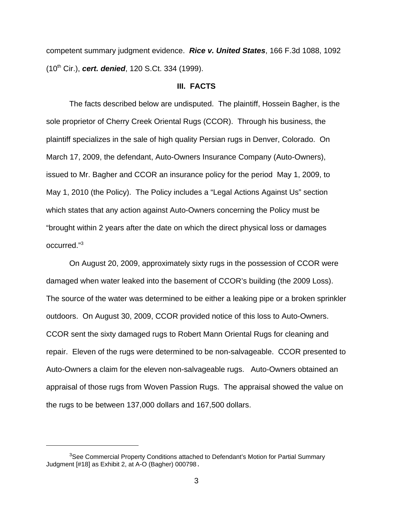competent summary judgment evidence. **Rice v. United States**, 166 F.3d 1088, 1092 (10th Cir.), **cert. denied**, 120 S.Ct. 334 (1999).

### **III. FACTS**

The facts described below are undisputed. The plaintiff, Hossein Bagher, is the sole proprietor of Cherry Creek Oriental Rugs (CCOR). Through his business, the plaintiff specializes in the sale of high quality Persian rugs in Denver, Colorado. On March 17, 2009, the defendant, Auto-Owners Insurance Company (Auto-Owners), issued to Mr. Bagher and CCOR an insurance policy for the period May 1, 2009, to May 1, 2010 (the Policy). The Policy includes a "Legal Actions Against Us" section which states that any action against Auto-Owners concerning the Policy must be "brought within 2 years after the date on which the direct physical loss or damages occurred."<sup>3</sup>

On August 20, 2009, approximately sixty rugs in the possession of CCOR were damaged when water leaked into the basement of CCOR's building (the 2009 Loss). The source of the water was determined to be either a leaking pipe or a broken sprinkler outdoors. On August 30, 2009, CCOR provided notice of this loss to Auto-Owners. CCOR sent the sixty damaged rugs to Robert Mann Oriental Rugs for cleaning and repair. Eleven of the rugs were determined to be non-salvageable. CCOR presented to Auto-Owners a claim for the eleven non-salvageable rugs. Auto-Owners obtained an appraisal of those rugs from Woven Passion Rugs. The appraisal showed the value on the rugs to be between 137,000 dollars and 167,500 dollars.

<sup>&</sup>lt;sup>3</sup>See Commercial Property Conditions attached to Defendant's Motion for Partial Summary Judgment [#18] as Exhibit 2, at A-O (Bagher) 000798.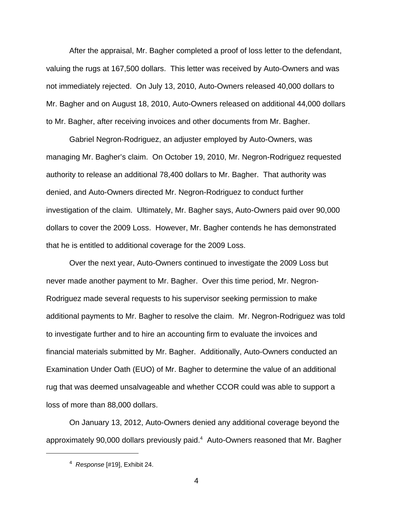After the appraisal, Mr. Bagher completed a proof of loss letter to the defendant, valuing the rugs at 167,500 dollars. This letter was received by Auto-Owners and was not immediately rejected. On July 13, 2010, Auto-Owners released 40,000 dollars to Mr. Bagher and on August 18, 2010, Auto-Owners released on additional 44,000 dollars to Mr. Bagher, after receiving invoices and other documents from Mr. Bagher.

Gabriel Negron-Rodriguez, an adjuster employed by Auto-Owners, was managing Mr. Bagher's claim. On October 19, 2010, Mr. Negron-Rodriguez requested authority to release an additional 78,400 dollars to Mr. Bagher. That authority was denied, and Auto-Owners directed Mr. Negron-Rodriguez to conduct further investigation of the claim. Ultimately, Mr. Bagher says, Auto-Owners paid over 90,000 dollars to cover the 2009 Loss. However, Mr. Bagher contends he has demonstrated that he is entitled to additional coverage for the 2009 Loss.

Over the next year, Auto-Owners continued to investigate the 2009 Loss but never made another payment to Mr. Bagher. Over this time period, Mr. Negron-Rodriguez made several requests to his supervisor seeking permission to make additional payments to Mr. Bagher to resolve the claim. Mr. Negron-Rodriguez was told to investigate further and to hire an accounting firm to evaluate the invoices and financial materials submitted by Mr. Bagher. Additionally, Auto-Owners conducted an Examination Under Oath (EUO) of Mr. Bagher to determine the value of an additional rug that was deemed unsalvageable and whether CCOR could was able to support a loss of more than 88,000 dollars.

On January 13, 2012, Auto-Owners denied any additional coverage beyond the approximately 90,000 dollars previously paid.<sup>4</sup> Auto-Owners reasoned that Mr. Bagher

 $4$  Response [#19], Exhibit 24.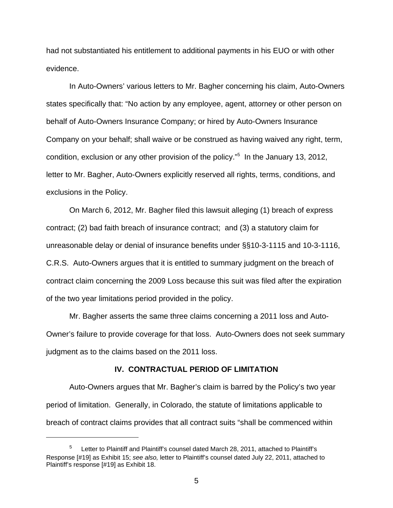had not substantiated his entitlement to additional payments in his EUO or with other evidence.

In Auto-Owners' various letters to Mr. Bagher concerning his claim, Auto-Owners states specifically that: "No action by any employee, agent, attorney or other person on behalf of Auto-Owners Insurance Company; or hired by Auto-Owners Insurance Company on your behalf; shall waive or be construed as having waived any right, term, condition, exclusion or any other provision of the policy."<sup>5</sup> In the January 13, 2012, letter to Mr. Bagher, Auto-Owners explicitly reserved all rights, terms, conditions, and exclusions in the Policy.

On March 6, 2012, Mr. Bagher filed this lawsuit alleging (1) breach of express contract; (2) bad faith breach of insurance contract; and (3) a statutory claim for unreasonable delay or denial of insurance benefits under §§10-3-1115 and 10-3-1116, C.R.S. Auto-Owners argues that it is entitled to summary judgment on the breach of contract claim concerning the 2009 Loss because this suit was filed after the expiration of the two year limitations period provided in the policy.

Mr. Bagher asserts the same three claims concerning a 2011 loss and Auto-Owner's failure to provide coverage for that loss. Auto-Owners does not seek summary judgment as to the claims based on the 2011 loss.

#### **IV. CONTRACTUAL PERIOD OF LIMITATION**

Auto-Owners argues that Mr. Bagher's claim is barred by the Policy's two year period of limitation. Generally, in Colorado, the statute of limitations applicable to breach of contract claims provides that all contract suits "shall be commenced within

Letter to Plaintiff and Plaintiff's counsel dated March 28, 2011, attached to Plaintiff's Response [#19] as Exhibit 15; see also, letter to Plaintiff's counsel dated July 22, 2011, attached to Plaintiff's response [#19] as Exhibit 18.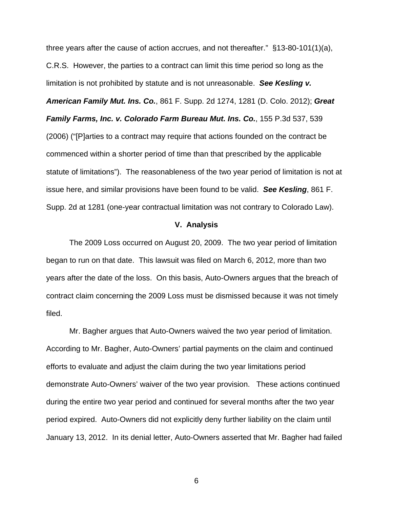three years after the cause of action accrues, and not thereafter." §13-80-101(1)(a), C.R.S. However, the parties to a contract can limit this time period so long as the limitation is not prohibited by statute and is not unreasonable. **See Kesling v. American Family Mut. Ins. Co.**, 861 F. Supp. 2d 1274, 1281 (D. Colo. 2012); **Great Family Farms, Inc. v. Colorado Farm Bureau Mut. Ins. Co.**, 155 P.3d 537, 539 (2006) ("[P]arties to a contract may require that actions founded on the contract be commenced within a shorter period of time than that prescribed by the applicable statute of limitations"). The reasonableness of the two year period of limitation is not at issue here, and similar provisions have been found to be valid. **See Kesling**, 861 F. Supp. 2d at 1281 (one-year contractual limitation was not contrary to Colorado Law).

#### **V. Analysis**

The 2009 Loss occurred on August 20, 2009. The two year period of limitation began to run on that date. This lawsuit was filed on March 6, 2012, more than two years after the date of the loss. On this basis, Auto-Owners argues that the breach of contract claim concerning the 2009 Loss must be dismissed because it was not timely filed.

Mr. Bagher argues that Auto-Owners waived the two year period of limitation. According to Mr. Bagher, Auto-Owners' partial payments on the claim and continued efforts to evaluate and adjust the claim during the two year limitations period demonstrate Auto-Owners' waiver of the two year provision. These actions continued during the entire two year period and continued for several months after the two year period expired. Auto-Owners did not explicitly deny further liability on the claim until January 13, 2012. In its denial letter, Auto-Owners asserted that Mr. Bagher had failed

6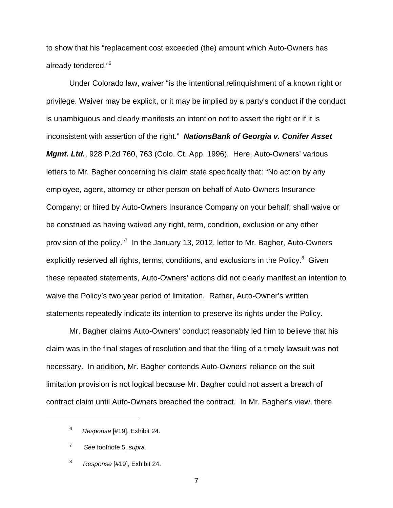to show that his "replacement cost exceeded (the) amount which Auto-Owners has already tendered."<sup>6</sup>

Under Colorado law, waiver "is the intentional relinquishment of a known right or privilege. Waiver may be explicit, or it may be implied by a party's conduct if the conduct is unambiguous and clearly manifests an intention not to assert the right or if it is inconsistent with assertion of the right." **NationsBank of Georgia v. Conifer Asset Mgmt. Ltd.**, 928 P.2d 760, 763 (Colo. Ct. App. 1996). Here, Auto-Owners' various letters to Mr. Bagher concerning his claim state specifically that: "No action by any employee, agent, attorney or other person on behalf of Auto-Owners Insurance Company; or hired by Auto-Owners Insurance Company on your behalf; shall waive or be construed as having waived any right, term, condition, exclusion or any other provision of the policy."<sup>7</sup> In the January 13, 2012, letter to Mr. Bagher, Auto-Owners explicitly reserved all rights, terms, conditions, and exclusions in the Policy.<sup>8</sup> Given these repeated statements, Auto-Owners' actions did not clearly manifest an intention to waive the Policy's two year period of limitation. Rather, Auto-Owner's written statements repeatedly indicate its intention to preserve its rights under the Policy.

Mr. Bagher claims Auto-Owners' conduct reasonably led him to believe that his claim was in the final stages of resolution and that the filing of a timely lawsuit was not necessary. In addition, Mr. Bagher contends Auto-Owners' reliance on the suit limitation provision is not logical because Mr. Bagher could not assert a breach of contract claim until Auto-Owners breached the contract. In Mr. Bagher's view, there

7

 $6$  Response [#19], Exhibit 24.

<sup>7</sup> See footnote 5, supra.

<sup>8</sup> Response [#19], Exhibit 24.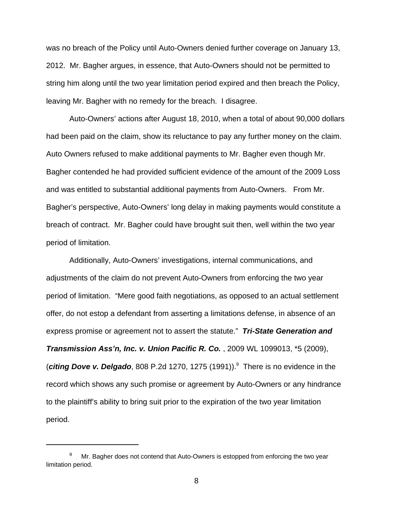was no breach of the Policy until Auto-Owners denied further coverage on January 13, 2012. Mr. Bagher argues, in essence, that Auto-Owners should not be permitted to string him along until the two year limitation period expired and then breach the Policy, leaving Mr. Bagher with no remedy for the breach. I disagree.

Auto-Owners' actions after August 18, 2010, when a total of about 90,000 dollars had been paid on the claim, show its reluctance to pay any further money on the claim. Auto Owners refused to make additional payments to Mr. Bagher even though Mr. Bagher contended he had provided sufficient evidence of the amount of the 2009 Loss and was entitled to substantial additional payments from Auto-Owners. From Mr. Bagher's perspective, Auto-Owners' long delay in making payments would constitute a breach of contract. Mr. Bagher could have brought suit then, well within the two year period of limitation.

Additionally, Auto-Owners' investigations, internal communications, and adjustments of the claim do not prevent Auto-Owners from enforcing the two year period of limitation. "Mere good faith negotiations, as opposed to an actual settlement offer, do not estop a defendant from asserting a limitations defense, in absence of an express promise or agreement not to assert the statute." **Tri-State Generation and Transmission Ass'n, Inc. v. Union Pacific R. Co.** , 2009 WL 1099013, \*5 (2009), (citing Dove v. Delgado, 808 P.2d 1270, 1275 (1991)).<sup>9</sup> There is no evidence in the record which shows any such promise or agreement by Auto-Owners or any hindrance to the plaintiff's ability to bring suit prior to the expiration of the two year limitation period.

 $9$  Mr. Bagher does not contend that Auto-Owners is estopped from enforcing the two year limitation period.